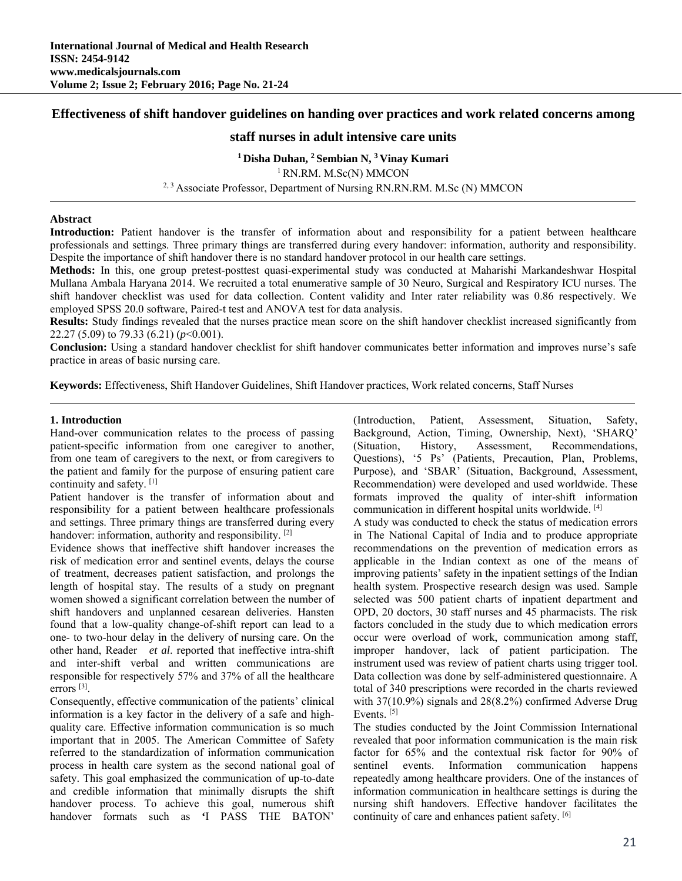# **Effectiveness of shift handover guidelines on handing over practices and work related concerns among**

# **staff nurses in adult intensive care units**

**1 Disha Duhan, 2 Sembian N, 3 Vinay Kumari** <sup>1</sup> RN.RM. M.Sc(N) MMCON <sup>2, 3</sup> Associate Professor, Department of Nursing RN.RN.RM. M.Sc (N) MMCON

### **Abstract**

Introduction: Patient handover is the transfer of information about and responsibility for a patient between healthcare professionals and settings. Three primary things are transferred during every handover: information, authority and responsibility. Despite the importance of shift handover there is no standard handover protocol in our health care settings.

**Methods:** In this, one group pretest-posttest quasi-experimental study was conducted at Maharishi Markandeshwar Hospital Mullana Ambala Haryana 2014. We recruited a total enumerative sample of 30 Neuro, Surgical and Respiratory ICU nurses. The shift handover checklist was used for data collection. Content validity and Inter rater reliability was 0.86 respectively. We employed SPSS 20.0 software, Paired-t test and ANOVA test for data analysis.

**Results:** Study findings revealed that the nurses practice mean score on the shift handover checklist increased significantly from 22.27 (5.09) to 79.33 (6.21) (*p*<0.001).

**Conclusion:** Using a standard handover checklist for shift handover communicates better information and improves nurse's safe practice in areas of basic nursing care.

**Keywords:** Effectiveness, Shift Handover Guidelines, Shift Handover practices, Work related concerns, Staff Nurses

#### **1. Introduction**

Hand-over communication relates to the process of passing patient-specific information from one caregiver to another, from one team of caregivers to the next, or from caregivers to the patient and family for the purpose of ensuring patient care continuity and safety. [1]

Patient handover is the transfer of information about and responsibility for a patient between healthcare professionals and settings. Three primary things are transferred during every handover: information, authority and responsibility. [2]

Evidence shows that ineffective shift handover increases the risk of medication error and sentinel events, delays the course of treatment, decreases patient satisfaction, and prolongs the length of hospital stay. The results of a study on pregnant women showed a significant correlation between the number of shift handovers and unplanned cesarean deliveries. Hansten found that a low-quality change-of-shift report can lead to a one- to two-hour delay in the delivery of nursing care. On the other hand, Reader *et al*. reported that ineffective intra-shift and inter-shift verbal and written communications are responsible for respectively 57% and 37% of all the healthcare errors [3].

Consequently, effective communication of the patients' clinical information is a key factor in the delivery of a safe and highquality care. Effective information communication is so much important that in 2005. The American Committee of Safety referred to the standardization of information communication process in health care system as the second national goal of safety. This goal emphasized the communication of up-to-date and credible information that minimally disrupts the shift handover process. To achieve this goal, numerous shift handover formats such as **'**I PASS THE BATON'

(Introduction, Patient, Assessment, Situation, Safety, Background, Action, Timing, Ownership, Next), 'SHARQ' (Situation, History, Assessment, Recommendations, Questions), '5 Ps' (Patients, Precaution, Plan, Problems, Purpose), and 'SBAR' (Situation, Background, Assessment, Recommendation) were developed and used worldwide. These formats improved the quality of inter-shift information communication in different hospital units worldwide. [4]

A study was conducted to check the status of medication errors in The National Capital of India and to produce appropriate recommendations on the prevention of medication errors as applicable in the Indian context as one of the means of improving patients' safety in the inpatient settings of the Indian health system. Prospective research design was used. Sample selected was 500 patient charts of inpatient department and OPD, 20 doctors, 30 staff nurses and 45 pharmacists. The risk factors concluded in the study due to which medication errors occur were overload of work, communication among staff, improper handover, lack of patient participation. The instrument used was review of patient charts using trigger tool. Data collection was done by self-administered questionnaire. A total of 340 prescriptions were recorded in the charts reviewed with 37(10.9%) signals and 28(8.2%) confirmed Adverse Drug Events.<sup>[5]</sup>

The studies conducted by the Joint Commission International revealed that poor information communication is the main risk factor for 65% and the contextual risk factor for 90% of sentinel events. Information communication happens repeatedly among healthcare providers. One of the instances of information communication in healthcare settings is during the nursing shift handovers. Effective handover facilitates the continuity of care and enhances patient safety. [6]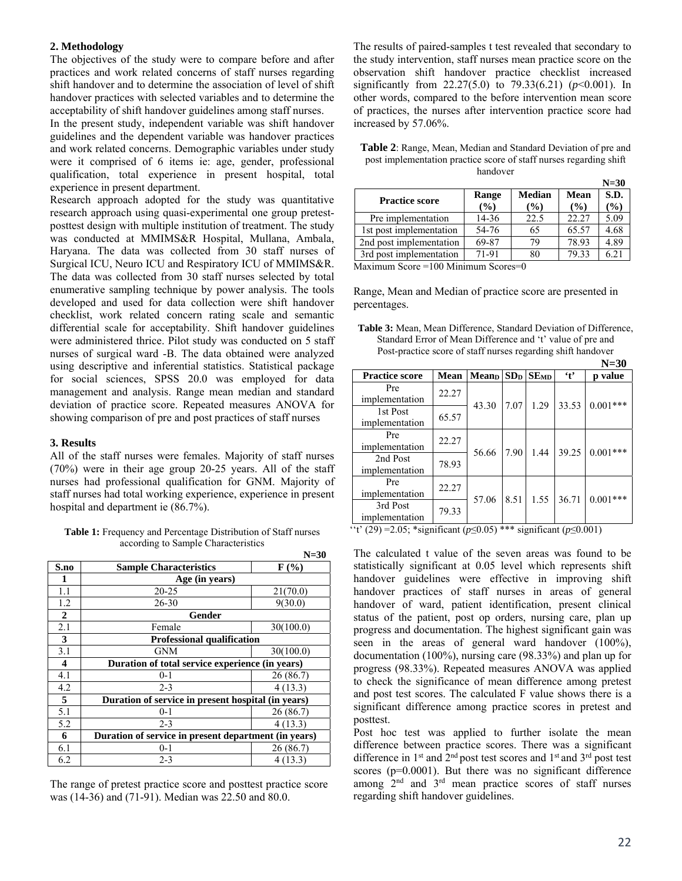## **2. Methodology**

The objectives of the study were to compare before and after practices and work related concerns of staff nurses regarding shift handover and to determine the association of level of shift handover practices with selected variables and to determine the acceptability of shift handover guidelines among staff nurses.

In the present study, independent variable was shift handover guidelines and the dependent variable was handover practices and work related concerns. Demographic variables under study were it comprised of 6 items ie: age, gender, professional qualification, total experience in present hospital, total experience in present department.

Research approach adopted for the study was quantitative research approach using quasi-experimental one group pretestposttest design with multiple institution of treatment. The study was conducted at MMIMS&R Hospital, Mullana, Ambala, Haryana. The data was collected from 30 staff nurses of Surgical ICU, Neuro ICU and Respiratory ICU of MMIMS&R. The data was collected from 30 staff nurses selected by total enumerative sampling technique by power analysis. The tools developed and used for data collection were shift handover checklist, work related concern rating scale and semantic differential scale for acceptability. Shift handover guidelines were administered thrice. Pilot study was conducted on 5 staff nurses of surgical ward -B. The data obtained were analyzed using descriptive and inferential statistics. Statistical package for social sciences, SPSS 20.0 was employed for data management and analysis. Range mean median and standard deviation of practice score. Repeated measures ANOVA for showing comparison of pre and post practices of staff nurses

#### **3. Results**

All of the staff nurses were females. Majority of staff nurses (70%) were in their age group 20-25 years. All of the staff nurses had professional qualification for GNM. Majority of staff nurses had total working experience, experience in present hospital and department ie (86.7%).

**Table 1:** Frequency and Percentage Distribution of Staff nurses according to Sample Characteristics

|                |                                                      | $N=30$    |  |  |  |  |
|----------------|------------------------------------------------------|-----------|--|--|--|--|
| S.no           | <b>Sample Characteristics</b>                        | $F(\%)$   |  |  |  |  |
| 1              | Age (in years)                                       |           |  |  |  |  |
| 1.1            | $20 - 25$                                            | 21(70.0)  |  |  |  |  |
| 1.2            | $26 - 30$                                            | 9(30.0)   |  |  |  |  |
| $\overline{2}$ | Gender                                               |           |  |  |  |  |
| 2.1            | Female                                               | 30(100.0) |  |  |  |  |
| 3              | <b>Professional qualification</b>                    |           |  |  |  |  |
| 3.1            | <b>GNM</b>                                           | 30(100.0) |  |  |  |  |
| 4              | Duration of total service experience (in years)      |           |  |  |  |  |
| 4.1            | $0 - 1$                                              | 26(86.7)  |  |  |  |  |
| 4.2            | $2 - 3$                                              | 4(13.3)   |  |  |  |  |
| 5              | Duration of service in present hospital (in years)   |           |  |  |  |  |
| 5.1            | $0 - 1$                                              | 26(86.7)  |  |  |  |  |
| 5.2            | $2 - 3$                                              | 4(13.3)   |  |  |  |  |
| 6              | Duration of service in present department (in years) |           |  |  |  |  |
| 6.1            | $0 - 1$                                              | 26(86.7)  |  |  |  |  |
| 6.2            | $2 - 3$                                              | 4 (13.3)  |  |  |  |  |

The range of pretest practice score and posttest practice score was (14-36) and (71-91). Median was 22.50 and 80.0.

The results of paired-samples t test revealed that secondary to the study intervention, staff nurses mean practice score on the observation shift handover practice checklist increased significantly from  $22.27(5.0)$  to  $79.33(6.21)$  ( $p<0.001$ ). In other words, compared to the before intervention mean score of practices, the nurses after intervention practice score had increased by 57.06%.

| Table 2: Range, Mean, Median and Standard Deviation of pre and     |
|--------------------------------------------------------------------|
| post implementation practice score of staff nurses regarding shift |
| handover                                                           |

|                            |        |               |       | $N=30$ |
|----------------------------|--------|---------------|-------|--------|
| <b>Practice score</b>      | Range  | <b>Median</b> | Mean  | S.D.   |
|                            | (%)    | (%)           | (%)   | $(\%)$ |
| Pre implementation         | 14-36  | 22.5          | 22.27 | 5.09   |
| 1st post implementation    | 54-76  | 65            | 65.57 | 4.68   |
| 2nd post implementation    | 69-87  | 79            | 78.93 | 4.89   |
| 3rd post implementation    | 71-91  | 80            | 79.33 | 6.21   |
| $\cdots$<br>100F<br>$\sim$ | $\sim$ | $\sim$        |       |        |

Maximum Score =100 Minimum Scores=0

Range, Mean and Median of practice score are presented in percentages.

**Table 3:** Mean, Mean Difference, Standard Deviation of Difference, Standard Error of Mean Difference and 't' value of pre and Post-practice score of staff nurses regarding shift handover

|                            |       |                          |      |              |           | $N=30$     |
|----------------------------|-------|--------------------------|------|--------------|-----------|------------|
| <b>Practice score</b>      | Mean  | <b>Mean</b> <sub>D</sub> |      | $SDD$ $SEMD$ | $\cdot$ t | p value    |
| Pre<br>implementation      | 22.27 |                          |      |              |           |            |
| 1st Post<br>implementation | 65.57 | 43.30                    | 7.07 | 1.29         | 33.53     | $0.001***$ |
| Pre<br>implementation      | 22.27 | 56.66                    | 7.90 | 1.44         | 39.25     | $0.001***$ |
| 2nd Post<br>implementation | 78.93 |                          |      |              |           |            |
| Pre<br>implementation      | 22.27 | 57.06                    | 8.51 | 1.55         | 36.71     | $0.001***$ |
| 3rd Post<br>implementation | 79.33 |                          |      |              |           |            |

''t' (29) =2.05; \*significant (*p*≤0.05) \*\*\* significant (*p*≤0.001)

The calculated t value of the seven areas was found to be statistically significant at 0.05 level which represents shift handover guidelines were effective in improving shift handover practices of staff nurses in areas of general handover of ward, patient identification, present clinical status of the patient, post op orders, nursing care, plan up progress and documentation. The highest significant gain was seen in the areas of general ward handover (100%), documentation (100%), nursing care (98.33%) and plan up for progress (98.33%). Repeated measures ANOVA was applied to check the significance of mean difference among pretest and post test scores. The calculated F value shows there is a significant difference among practice scores in pretest and posttest.

Post hoc test was applied to further isolate the mean difference between practice scores. There was a significant difference in  $1<sup>st</sup>$  and  $2<sup>nd</sup>$  post test scores and  $1<sup>st</sup>$  and  $3<sup>rd</sup>$  post test scores (p=0.0001). But there was no significant difference among 2nd and 3rd mean practice scores of staff nurses regarding shift handover guidelines.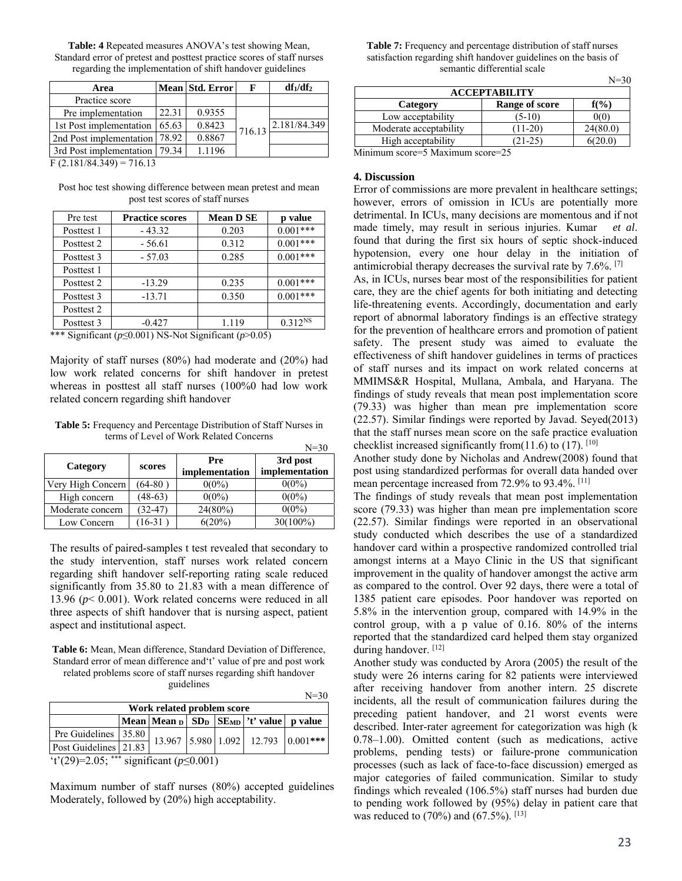| <b>Table: 4</b> Repeated measures ANOVA's test showing Mean,           |
|------------------------------------------------------------------------|
| Standard error of pretest and posttest practice scores of staff nurses |
| regarding the implementation of shift handover guidelines              |

| Area                             |       | Mean Std. Error | F      | $df_1/df_2$  |  |  |
|----------------------------------|-------|-----------------|--------|--------------|--|--|
| Practice score                   |       |                 |        |              |  |  |
| Pre implementation               | 22.31 | 0.9355          |        |              |  |  |
| 1st Post implementation          | 65.63 | 0.8423          | 716.13 | 2.181/84.349 |  |  |
| 2nd Post implementation          | 78.92 | 0.8867          |        |              |  |  |
| 3rd Post implementation          | 79.34 | 1.1196          |        |              |  |  |
| $\Gamma$ (2.101/04/240) = 716/12 |       |                 |        |              |  |  |

 $F(2.181/84.349) = 716.13$ 

Post hoc test showing difference between mean pretest and mean post test scores of staff nurses

| Pre test   | <b>Practice scores</b> | <b>Mean D SE</b> | p value      |
|------------|------------------------|------------------|--------------|
| Posttest 1 | $-43.32$               | 0.203            | $0.001***$   |
| Posttest 2 | $-56.61$               | 0.312            | $0.001***$   |
| Posttest 3 | $-57.03$               | 0.285            | $0.001***$   |
| Posttest 1 |                        |                  |              |
| Posttest 2 | $-13.29$               | 0.235            | $0.001***$   |
| Posttest 3 | $-13.71$               | 0.350            | $0.001***$   |
| Posttest 2 |                        |                  |              |
| Posttest 3 | $-0.427$               | 1.119            | $0.312^{NS}$ |

\*\*\* Significant (*p*≤0.001) NS-Not Significant (*p*>0.05)

Majority of staff nurses (80%) had moderate and (20%) had low work related concerns for shift handover in pretest whereas in posttest all staff nurses (100%0 had low work related concern regarding shift handover

**Table 5:** Frequency and Percentage Distribution of Staff Nurses in terms of Level of Work Related Concerns

|                   |           |                       | $N = 30$                   |
|-------------------|-----------|-----------------------|----------------------------|
| Category          | scores    | Pre<br>implementation | 3rd post<br>implementation |
| Very High Concern | $(64-80)$ | $0(0\%)$              | $0(0\%)$                   |
| High concern      | $(48-63)$ | $0(0\%)$              | $0(0\%)$                   |
| Moderate concern  | $(32-47)$ | 24(80%)               | $0(0\%)$                   |
| Low Concern       | 16-31     | 6(20%)                | $30(100\%)$                |

The results of paired-samples t test revealed that secondary to the study intervention, staff nurses work related concern regarding shift handover self-reporting rating scale reduced significantly from 35.80 to 21.83 with a mean difference of 13.96 (*p*< 0.001). Work related concerns were reduced in all three aspects of shift handover that is nursing aspect, patient aspect and institutional aspect.

**Table 6:** Mean, Mean difference, Standard Deviation of Difference, Standard error of mean difference and't' value of pre and post work related problems score of staff nurses regarding shift handover guidelines

|                                                                                                                                                                                                                                                                                                                                                       |  |  |  |  |                                                                             | $N = 30$                           |
|-------------------------------------------------------------------------------------------------------------------------------------------------------------------------------------------------------------------------------------------------------------------------------------------------------------------------------------------------------|--|--|--|--|-----------------------------------------------------------------------------|------------------------------------|
| Work related problem score                                                                                                                                                                                                                                                                                                                            |  |  |  |  |                                                                             |                                    |
|                                                                                                                                                                                                                                                                                                                                                       |  |  |  |  | Mean   Mean $_D$   SD <sub>D</sub>   SE <sub>MD</sub>   't' value   p value |                                    |
| Pre Guidelines 35.80                                                                                                                                                                                                                                                                                                                                  |  |  |  |  |                                                                             | 13.967 5.980 1.092 12.793 0.001*** |
| Post Guidelines 21.83                                                                                                                                                                                                                                                                                                                                 |  |  |  |  |                                                                             |                                    |
| $(12.00)$ $\wedge$ $\wedge$ $\wedge$ $\wedge$ $\wedge$ $\wedge$ $\wedge$ $\wedge$ $\wedge$ $\wedge$ $\wedge$ $\wedge$ $\wedge$ $\wedge$ $\wedge$ $\wedge$ $\wedge$ $\wedge$ $\wedge$ $\wedge$ $\wedge$ $\wedge$ $\wedge$ $\wedge$ $\wedge$ $\wedge$ $\wedge$ $\wedge$ $\wedge$ $\wedge$ $\wedge$ $\wedge$ $\wedge$ $\wedge$ $\wedge$<br>(1, 20, 0.01) |  |  |  |  |                                                                             |                                    |

't'(29)=2.05; \*\*\* significant (*p*≤0.001)

Maximum number of staff nurses (80%) accepted guidelines Moderately, followed by (20%) high acceptability.

**Table 7:** Frequency and percentage distribution of staff nurses satisfaction regarding shift handover guidelines on the basis of semantic differential scale

 $N=30$ 

|                        |                | $1 - 20$ |  |  |  |  |
|------------------------|----------------|----------|--|--|--|--|
| <b>ACCEPTABILITY</b>   |                |          |  |  |  |  |
| Category               | Range of score | $f(\%)$  |  |  |  |  |
| Low acceptability      | $(5-10)$       | 0(0)     |  |  |  |  |
| Moderate acceptability | $(11-20)$      | 24(80.0) |  |  |  |  |
| High acceptability     | $(21-25)$      | 6(20.0)  |  |  |  |  |
| - - -                  |                |          |  |  |  |  |

Minimum score=5 Maximum score=25

#### **4. Discussion**

Error of commissions are more prevalent in healthcare settings; however, errors of omission in ICUs are potentially more detrimental. In ICUs, many decisions are momentous and if not made timely, may result in serious injuries. Kumar *et al*. found that during the first six hours of septic shock-induced hypotension, every one hour delay in the initiation of antimicrobial therapy decreases the survival rate by  $7.6\%$ . <sup>[7]</sup>

As, in ICUs, nurses bear most of the responsibilities for patient care, they are the chief agents for both initiating and detecting life-threatening events. Accordingly, documentation and early report of abnormal laboratory findings is an effective strategy for the prevention of healthcare errors and promotion of patient safety. The present study was aimed to evaluate the effectiveness of shift handover guidelines in terms of practices of staff nurses and its impact on work related concerns at MMIMS&R Hospital, Mullana, Ambala, and Haryana. The findings of study reveals that mean post implementation score (79.33) was higher than mean pre implementation score (22.57). Similar findings were reported by Javad. Seyed(2013) that the staff nurses mean score on the safe practice evaluation checklist increased significantly from(11.6) to (17).  $[10]$ 

Another study done by Nicholas and Andrew(2008) found that post using standardized performas for overall data handed over mean percentage increased from 72.9% to 93.4%. [11]

The findings of study reveals that mean post implementation score (79.33) was higher than mean pre implementation score (22.57). Similar findings were reported in an observational study conducted which describes the use of a standardized handover card within a prospective randomized controlled trial amongst interns at a Mayo Clinic in the US that significant improvement in the quality of handover amongst the active arm as compared to the control. Over 92 days, there were a total of 1385 patient care episodes. Poor handover was reported on 5.8% in the intervention group, compared with 14.9% in the control group, with a p value of 0.16. 80% of the interns reported that the standardized card helped them stay organized during handover. [12]

Another study was conducted by Arora (2005) the result of the study were 26 interns caring for 82 patients were interviewed after receiving handover from another intern. 25 discrete incidents, all the result of communication failures during the preceding patient handover, and 21 worst events were described. Inter-rater agreement for categorization was high (k 0.78–1.00). Omitted content (such as medications, active problems, pending tests) or failure-prone communication processes (such as lack of face-to-face discussion) emerged as major categories of failed communication. Similar to study findings which revealed (106.5%) staff nurses had burden due to pending work followed by (95%) delay in patient care that was reduced to  $(70\%)$  and  $(67.5\%)$ . [13]